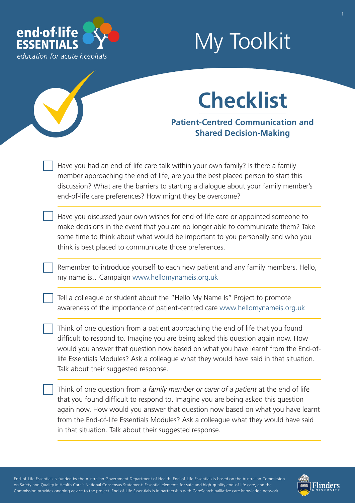

# My Toolkit



### **Patient-Centred Communication and Shared Decision-Making**

Have you had an end-of-life care talk within your own family? Is there a family member approaching the end of life, are you the best placed person to start this discussion? What are the barriers to starting a dialogue about your family member's end-of-life care preferences? How might they be overcome?

Have you discussed your own wishes for end-of-life care or appointed someone to make decisions in the event that you are no longer able to communicate them? Take some time to think about what would be important to you personally and who you think is best placed to communicate those preferences.

Remember to introduce yourself to each new patient and any family members. Hello, my name is…Campaign [www.hellomynameis.org.uk](http://www.hellomynameis.org.uk) 

Tell a colleague or student about the "Hello My Name Is" Project to promote awareness of the importance of patient-centred care [www.hellomynameis.org.uk](http://www.hellomynameis.org.uk)

Think of one question from a patient approaching the end of life that you found difficult to respond to. Imagine you are being asked this question again now. How would you answer that question now based on what you have learnt from the End-oflife Essentials Modules? Ask a colleague what they would have said in that situation. Talk about their suggested response.

Think of one question from a *family member or carer of a patient* at the end of life that you found difficult to respond to. Imagine you are being asked this question again now. How would you answer that question now based on what you have learnt from the End-of-life Essentials Modules? Ask a colleague what they would have said in that situation. Talk about their suggested response.

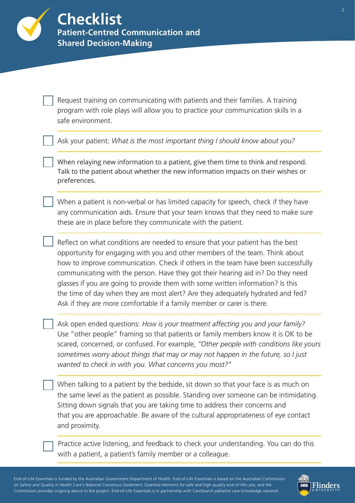Request training on communicating with patients and their families. A training program with role plays will allow you to practice your communication skills in a safe environment.

Ask your patient: *What is the most important thing I should know about you?*

When relaying new information to a patient, give them time to think and respond. Talk to the patient about whether the new information impacts on their wishes or preferences.

When a patient is non-verbal or has limited capacity for speech, check if they have any communication aids. Ensure that your team knows that they need to make sure these are in place before they communicate with the patient.

Reflect on what conditions are needed to ensure that your patient has the best opportunity for engaging with you and other members of the team. Think about how to improve communication. Check if others in the team have been successfully communicating with the person. Have they got their hearing aid in? Do they need glasses if you are going to provide them with some written information? Is this the time of day when they are most alert? Are they adequately hydrated and fed? Ask if they are more comfortable if a family member or carer is there.

Ask open ended questions: *How is your treatment affecting you and your family?* Use "other people" framing so that patients or family members know it is OK to be scared, concerned, or confused. For example, *"Other people with conditions like yours sometimes worry about things that may or may not happen in the future, so I just wanted to check in with you. What concerns you most?"*

When talking to a patient by the bedside, sit down so that your face is as much on the same level as the patient as possible. Standing over someone can be intimidating. Sitting down signals that you are taking time to address their concerns and that you are approachable. Be aware of the cultural appropriateness of eye contact and proximity.

Practice active listening, and feedback to check your understanding. You can do this with a patient, a patient's family member or a colleague.

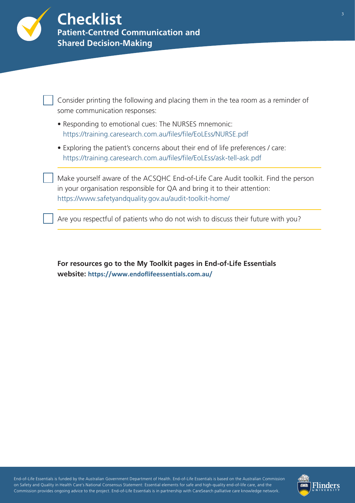

| Consider printing the following and placing them in the tea room as a reminder of<br>some communication responses:                                                                                                       |
|--------------------------------------------------------------------------------------------------------------------------------------------------------------------------------------------------------------------------|
| • Responding to emotional cues: The NURSES mnemonic:<br>https://training.caresearch.com.au/files/file/EoLEss/NURSE.pdf                                                                                                   |
| • Exploring the patient's concerns about their end of life preferences / care:<br>https://training.caresearch.com.au/files/file/EoLEss/ask-tell-ask.pdf                                                                  |
| Make yourself aware of the ACSQHC End-of-Life Care Audit toolkit. Find the person<br>in your organisation responsible for QA and bring it to their attention:<br>https://www.safetyandquality.gov.au/audit-toolkit-home/ |
| Are you respectful of patients who do not wish to discuss their future with you?                                                                                                                                         |
|                                                                                                                                                                                                                          |

**For resources go to the My Toolkit pages in End-of-Life Essentials website: <https://www.endoflifeessentials.com.au/>**

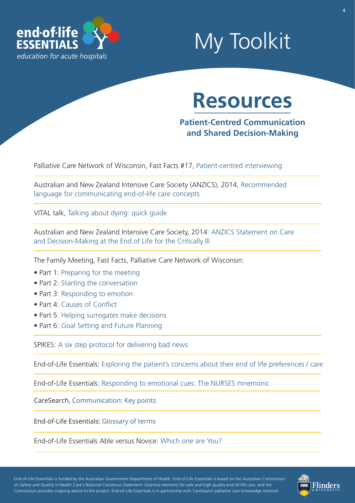

## My Toolkit

## **Resources**

**Patient-Centred Communication and Shared Decision-Making**

Palliative Care Network of Wisconsin, Fast Facts #17, [Patient-centred interviewing](https://www.mypcnow.org/blank-l0tmz)

[Australian and New Zealand Intensive Care Society \(ANZICS\), 2014, Recommended](http://educationresource.bhs.org.au/library/file/596/Appendix_4_Recommended_language_EOL1.pdf)  language for communicating end-of-life care concepts

VITAL talk, [Talking about dying: quick guide](https://vitaltalk.org/resources/quick-guides/)

[Australian and New Zealand Intensive Care Society, 2014: ANZICS Statement on Care](https://intensivecareathome.com/wp-content/uploads/2015/05/ANZICS-Statement-on-Care-and-Decision-Making-at-the-End-of-Life.pdf)  and Decision-Making at the End of Life for the Critically Ill

The Family Meeting, Fast Facts, Palliative Care Network of Wisconsin:

- Part 1[: Preparing for the meeting](https://www.mypcnow.org/blank-qrd7h)
- Part 2: [Starting the conversation](https://www.mypcnow.org/blank-u77fm)
- Part 3: [Responding to emotion](https://www.mypcnow.org/blank-k4ibb)
- Part 4: [Causes of Conflict](https://www.mypcnow.org/blank-uf1mk)
- Part 5: [Helping surrogates make decisions](https://www.mypcnow.org/blank-fpu2r)
- Part 6: [Goal Setting and Future Planning](https://www.mypcnow.org/blank-v4djd)

SPIKES: [A six step protocol for delivering bad news](https://training.caresearch.com.au/files/file/EoLEss/SPIKES.pdf)

End-of-Life Essentials: [Exploring the patient's concerns about their end of life preferences / care](https://training.caresearch.com.au/files/file/EoLEss/ask-tell-ask.pdf)

End-of-Life Essentials[: Responding to emotional cues: The NURSES mnemonic](https://training.caresearch.com.au/files/file/EoLEss/NURSE.pdf)

CareSearch, [Communication: Key points](https://www.caresearch.com.au/tabid/6259/Default.aspx)

End-of-Life Essentials: [Glossary of terms](https://www.caresearch.com.au/caresearch/tabid/1801/Default.aspx)

End-of-Life Essentials Able versus Novice: [Which one are You?](https://www.endoflifeessentials.com.au/Portals/14/Images/Education%20Module/ABLE-VS-NOVICE.jpg)

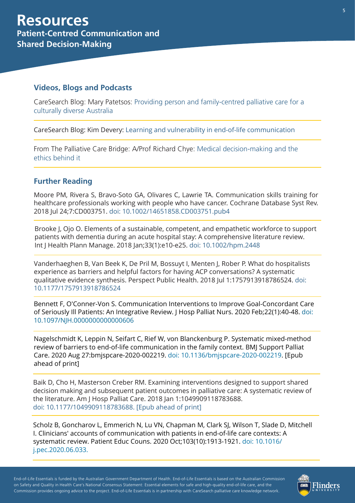#### **Videos, Blogs and Podcasts**

[CareSearch Blog: Mary Patetsos: Providing person and family-centred palliative care for a](https://www.caresearch.com.au/TabId/6568/ArtMID/17907/ArticleID/2418/Providing-person-and-family-centred-palliative-care-for-a-culturally-diverse-Australia.aspx) culturally diverse Australia

CareSearch Blog: Kim Devery: [Learning and vulnerability in end-of-life communication](https://www.caresearch.com.au/TabId/6568/ArtMID/17907/ArticleID/2311/Learning-and-vulnerability-in-end-of-life-communication.aspx)

[From The Palliative Care Bridge: A/Prof Richard Chye: Medical decision-making and the](http://www.palliativecarebridge.com.au/resources/medical-decision-making-and-the-ethics-behind-it)  ethics behind it

### **Further Reading**

Moore PM, Rivera S, Bravo-Soto GA, Olivares C, Lawrie TA. Communication skills training for healthcare professionals working with people who have cancer. Cochrane Database Syst Rev. 2018 Jul 24;7:CD003751. [doi: 10.1002/14651858.CD003751.pub4](https://www.cochranelibrary.com/cdsr/doi/10.1002/14651858.CD003751.pub4/full)

Brooke J, Ojo O. Elements of a sustainable, competent, and empathetic workforce to support patients with dementia during an acute hospital stay: A comprehensive literature review. Int J Health Plann Manage. 2018 Jan;33(1):e10-e25[. doi: 10.1002/hpm.2448](https://onlinelibrary.wiley.com/doi/abs/10.1002/hpm.2448)

Vanderhaeghen B, Van Beek K, De Pril M, Bossuyt I, Menten J, Rober P. What do hospitalists experience as barriers and helpful factors for having ACP conversations? A systematic [qualitative evidence synthesis. Perspect Public Health. 2018 Jul 1:1757913918786524. doi:](https://pubmed.ncbi.nlm.nih.gov/30010486/) [10.1177/1757913918786524](https://journals.sagepub.com/doi/abs/10.1177/1757913918786524?journalCode=rshi)

Bennett F, O'Conner-Von S. Communication Interventions to Improve Goal-Concordant Care [of Seriously Ill Patients: An Integrative Review. J Hosp Palliat Nurs. 2020 Feb;22\(1\):40-48. doi:](https://pubmed.ncbi.nlm.nih.gov/31764395/) 10.1097/NJH.0000000000000606

Nagelschmidt K, Leppin N, Seifart C, Rief W, von Blanckenburg P. Systematic mixed-method [review of barriers to end-of-life communication in the family context. BMJ Support Palliat](https://www.ncbi.nlm.nih.gov/pubmed/28782701)  Care. 2020 Aug 27:bmjspcare-2020-002219. [doi: 10.1136/bmjspcare-2020-002219.](https://pubmed.ncbi.nlm.nih.gov/32855230/) [Epub ahead of print]

Baik D, Cho H, Masterson Creber RM. Examining interventions designed to support shared decision making and subsequent patient outcomes in palliative care: A systematic review of the literature. Am J Hosp Palliat Care. 2018 Jan 1:1049909118783688. [doi: 10.1177/1049909118783688. \[Epub ahead of print\]](https://pubmed.ncbi.nlm.nih.gov/29925244/)

Scholz B, Goncharov L, Emmerich N, Lu VN, Chapman M, Clark SJ, Wilson T, Slade D, Mitchell I. Clinicians' accounts of communication with patients in end-of-life care contexts: A [systematic review. Patient Educ Couns. 2020 Oct;103\(10\):19](https://www.ncbi.nlm.nih.gov/pubmed/29925244)[13-1921. doi: 10.1016/](https://pubmed.ncbi.nlm.nih.gov/32650998/) j.pec.2020.06.033.